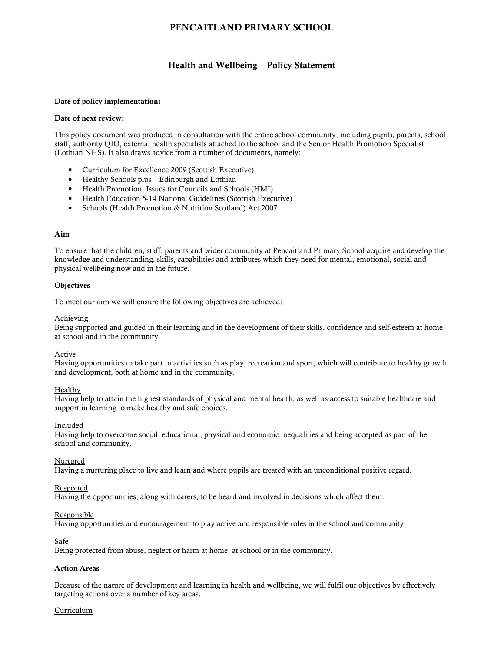# PENCAITLAND PRIMARY SCHOOL

# Health and Wellbeing – Policy Statement

#### Date of policy implementation:

#### Date of next review:

This policy document was produced in consultation with the entire school community, including pupils, parents, school staff, authority QIO, external health specialists attached to the school and the Senior Health Promotion Specialist (Lothian NHS). It also draws advice from a number of documents, namely:

- Curriculum for Excellence 2009 (Scottish Executive)
- Healthy Schools plus Edinburgh and Lothian
- Health Promotion, Issues for Councils and Schools (HMI)
- Health Education 5-14 National Guidelines (Scottish Executive)
- Schools (Health Promotion & Nutrition Scotland) Act 2007

#### Aim

To ensure that the children, staff, parents and wider community at Pencaitland Primary School acquire and develop the knowledge and understanding, skills, capabilities and attributes which they need for mental, emotional, social and physical wellbeing now and in the future.

#### **Objectives**

To meet our aim we will ensure the following objectives are achieved:

#### Achieving

Being supported and guided in their learning and in the development of their skills, confidence and self-esteem at home, at school and in the community.

#### Active

Having opportunities to take part in activities such as play, recreation and sport, which will contribute to healthy growth and development, both at home and in the community.

#### Healthy

Having help to attain the highest standards of physical and mental health, as well as access to suitable healthcare and support in learning to make healthy and safe choices.

#### Included

Having help to overcome social, educational, physical and economic inequalities and being accepted as part of the school and community.

## Nurtured

Having a nurturing place to live and learn and where pupils are treated with an unconditional positive regard.

#### Respected

Having the opportunities, along with carers, to be heard and involved in decisions which affect them.

#### Responsible

Having opportunities and encouragement to play active and responsible roles in the school and community.

#### **Safe**

Being protected from abuse, neglect or harm at home, at school or in the community.

### Action Areas

Because of the nature of development and learning in health and wellbeing, we will fulfil our objectives by effectively targeting actions over a number of key areas.

#### Curriculum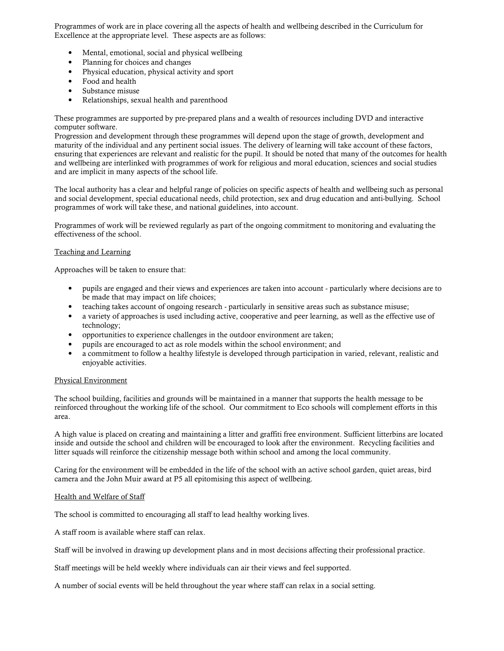Programmes of work are in place covering all the aspects of health and wellbeing described in the Curriculum for Excellence at the appropriate level. These aspects are as follows:

- Mental, emotional, social and physical wellbeing
- Planning for choices and changes
- Physical education, physical activity and sport
- Food and health
- Substance misuse
- Relationships, sexual health and parenthood

These programmes are supported by pre-prepared plans and a wealth of resources including DVD and interactive computer software.

Progression and development through these programmes will depend upon the stage of growth, development and maturity of the individual and any pertinent social issues. The delivery of learning will take account of these factors, ensuring that experiences are relevant and realistic for the pupil. It should be noted that many of the outcomes for health and wellbeing are interlinked with programmes of work for religious and moral education, sciences and social studies and are implicit in many aspects of the school life.

The local authority has a clear and helpful range of policies on specific aspects of health and wellbeing such as personal and social development, special educational needs, child protection, sex and drug education and anti-bullying. School programmes of work will take these, and national guidelines, into account.

Programmes of work will be reviewed regularly as part of the ongoing commitment to monitoring and evaluating the effectiveness of the school.

#### Teaching and Learning

Approaches will be taken to ensure that:

- pupils are engaged and their views and experiences are taken into account particularly where decisions are to be made that may impact on life choices;
- teaching takes account of ongoing research particularly in sensitive areas such as substance misuse;
- a variety of approaches is used including active, cooperative and peer learning, as well as the effective use of technology;
- opportunities to experience challenges in the outdoor environment are taken;
- pupils are encouraged to act as role models within the school environment; and
- a commitment to follow a healthy lifestyle is developed through participation in varied, relevant, realistic and enjoyable activities.

#### Physical Environment

The school building, facilities and grounds will be maintained in a manner that supports the health message to be reinforced throughout the working life of the school. Our commitment to Eco schools will complement efforts in this area.

A high value is placed on creating and maintaining a litter and graffiti free environment. Sufficient litterbins are located inside and outside the school and children will be encouraged to look after the environment. Recycling facilities and litter squads will reinforce the citizenship message both within school and among the local community.

Caring for the environment will be embedded in the life of the school with an active school garden, quiet areas, bird camera and the John Muir award at P5 all epitomising this aspect of wellbeing.

#### Health and Welfare of Staff

The school is committed to encouraging all staff to lead healthy working lives.

A staff room is available where staff can relax.

Staff will be involved in drawing up development plans and in most decisions affecting their professional practice.

Staff meetings will be held weekly where individuals can air their views and feel supported.

A number of social events will be held throughout the year where staff can relax in a social setting.